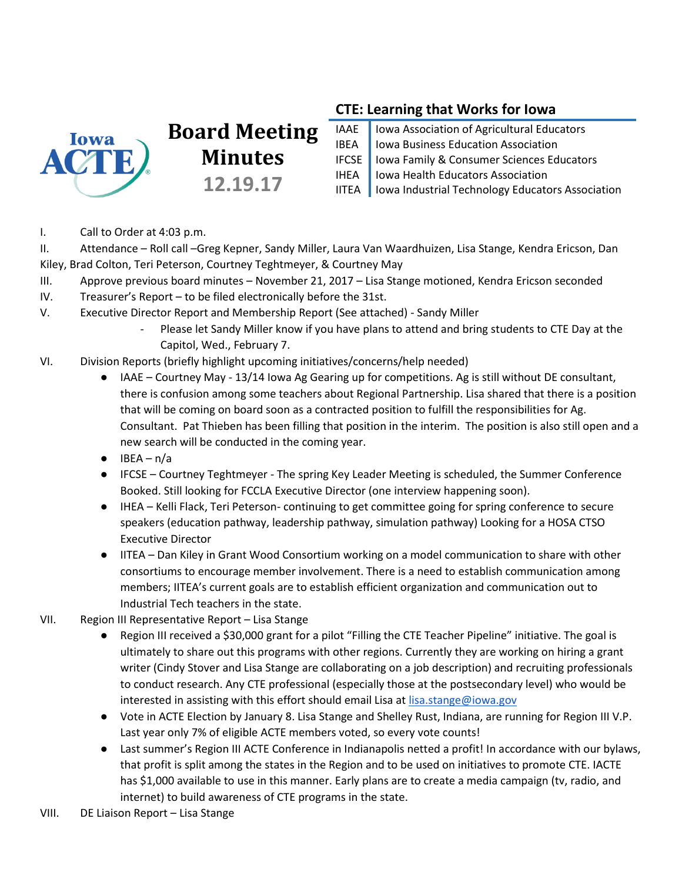

# **Board Meeting Minutes 12.19.17**

## **CTE: Learning that Works for Iowa**

| IAAE   Iowa Association of Agricultural Educators        |
|----------------------------------------------------------|
| IBEA   Iowa Business Education Association               |
| IFCSE   Iowa Family & Consumer Sciences Educators        |
| IHEA   Iowa Health Educators Association                 |
| IITEA   Iowa Industrial Technology Educators Association |

I. Call to Order at 4:03 p.m.

II. Attendance – Roll call –Greg Kepner, Sandy Miller, Laura Van Waardhuizen, Lisa Stange, Kendra Ericson, Dan Kiley, Brad Colton, Teri Peterson, Courtney Teghtmeyer, & Courtney May

- III. Approve previous board minutes November 21, 2017 Lisa Stange motioned, Kendra Ericson seconded
- IV. Treasurer's Report to be filed electronically before the 31st.
- V. Executive Director Report and Membership Report (See attached) Sandy Miller
	- Please let Sandy Miller know if you have plans to attend and bring students to CTE Day at the Capitol, Wed., February 7.
- VI. Division Reports (briefly highlight upcoming initiatives/concerns/help needed)
	- IAAE Courtney May 13/14 Iowa Ag Gearing up for competitions. Ag is still without DE consultant, there is confusion among some teachers about Regional Partnership. Lisa shared that there is a position that will be coming on board soon as a contracted position to fulfill the responsibilities for Ag. Consultant. Pat Thieben has been filling that position in the interim. The position is also still open and a new search will be conducted in the coming year.
	- $\bullet$  IBEA n/a
	- IFCSE Courtney Teghtmeyer The spring Key Leader Meeting is scheduled, the Summer Conference Booked. Still looking for FCCLA Executive Director (one interview happening soon).
	- IHEA Kelli Flack, Teri Peterson- continuing to get committee going for spring conference to secure speakers (education pathway, leadership pathway, simulation pathway) Looking for a HOSA CTSO Executive Director
	- IITEA Dan Kiley in Grant Wood Consortium working on a model communication to share with other consortiums to encourage member involvement. There is a need to establish communication among members; IITEA's current goals are to establish efficient organization and communication out to Industrial Tech teachers in the state.
- VII. Region III Representative Report Lisa Stange
	- Region III received a \$30,000 grant for a pilot "Filling the CTE Teacher Pipeline" initiative. The goal is ultimately to share out this programs with other regions. Currently they are working on hiring a grant writer (Cindy Stover and Lisa Stange are collaborating on a job description) and recruiting professionals to conduct research. Any CTE professional (especially those at the postsecondary level) who would be interested in assisting with this effort should email Lisa at [lisa.stange@iowa.gov](mailto:lisa.stange@iowa.gov)
	- Vote in ACTE Election by January 8. Lisa Stange and Shelley Rust, Indiana, are running for Region III V.P. Last year only 7% of eligible ACTE members voted, so every vote counts!
	- Last summer's Region III ACTE Conference in Indianapolis netted a profit! In accordance with our bylaws, that profit is split among the states in the Region and to be used on initiatives to promote CTE. IACTE has \$1,000 available to use in this manner. Early plans are to create a media campaign (tv, radio, and internet) to build awareness of CTE programs in the state.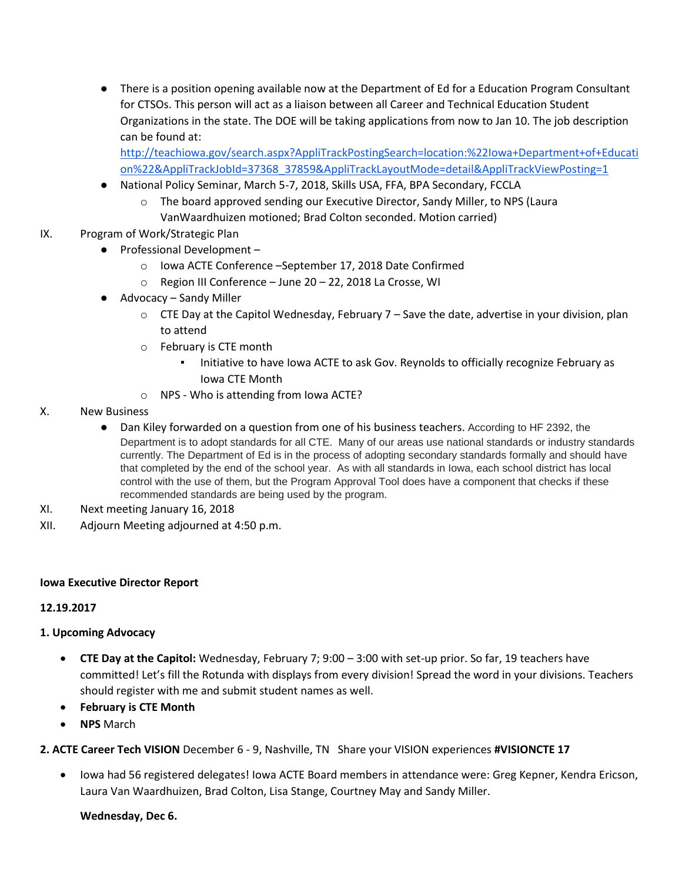● There is a position opening available now at the Department of Ed for a Education Program Consultant for CTSOs. This person will act as a liaison between all Career and Technical Education Student Organizations in the state. The DOE will be taking applications from now to Jan 10. The job description can be found at:

[http://teachiowa.gov/search.aspx?AppliTrackPostingSearch=location:%22Iowa+Department+of+Educati](http://teachiowa.gov/search.aspx?AppliTrackPostingSearch=location:%22Iowa+Department+of+Education%22&AppliTrackJobId=37368_37859&AppliTrackLayoutMode=detail&AppliTrackViewPosting=1) [on%22&AppliTrackJobId=37368\\_37859&AppliTrackLayoutMode=detail&AppliTrackViewPosting=1](http://teachiowa.gov/search.aspx?AppliTrackPostingSearch=location:%22Iowa+Department+of+Education%22&AppliTrackJobId=37368_37859&AppliTrackLayoutMode=detail&AppliTrackViewPosting=1) 

- National Policy Seminar, March 5-7, 2018, Skills USA, FFA, BPA Secondary, FCCLA
	- o The board approved sending our Executive Director, Sandy Miller, to NPS (Laura VanWaardhuizen motioned; Brad Colton seconded. Motion carried)
- IX. Program of Work/Strategic Plan
	- Professional Development
		- o Iowa ACTE Conference –September 17, 2018 Date Confirmed
		- o Region III Conference June 20 22, 2018 La Crosse, WI
	- Advocacy Sandy Miller
		- $\circ$  CTE Day at the Capitol Wednesday, February 7 Save the date, advertise in your division, plan to attend
		- o February is CTE month
			- Initiative to have Iowa ACTE to ask Gov. Reynolds to officially recognize February as Iowa CTE Month
		- o NPS Who is attending from Iowa ACTE?
- X. New Business
	- Dan Kiley forwarded on a question from one of his business teachers. According to HF 2392, the Department is to adopt standards for all CTE. Many of our areas use national standards or industry standards currently. The Department of Ed is in the process of adopting secondary standards formally and should have that completed by the end of the school year. As with all standards in Iowa, each school district has local control with the use of them, but the Program Approval Tool does have a component that checks if these recommended standards are being used by the program.
- XI. Next meeting January 16, 2018
- XII. Adjourn Meeting adjourned at 4:50 p.m.

#### **Iowa Executive Director Report**

#### **12.19.2017**

#### **1. Upcoming Advocacy**

- **CTE Day at the Capitol:** Wednesday, February 7; 9:00 3:00 with set-up prior. So far, 19 teachers have committed! Let's fill the Rotunda with displays from every division! Spread the word in your divisions. Teachers should register with me and submit student names as well.
- **February is CTE Month**
- **NPS** March

#### **2. ACTE Career Tech VISION** December 6 - 9, Nashville, TN Share your VISION experiences **#VISIONCTE 17**

 Iowa had 56 registered delegates! Iowa ACTE Board members in attendance were: Greg Kepner, Kendra Ericson, Laura Van Waardhuizen, Brad Colton, Lisa Stange, Courtney May and Sandy Miller.

#### **Wednesday, Dec 6.**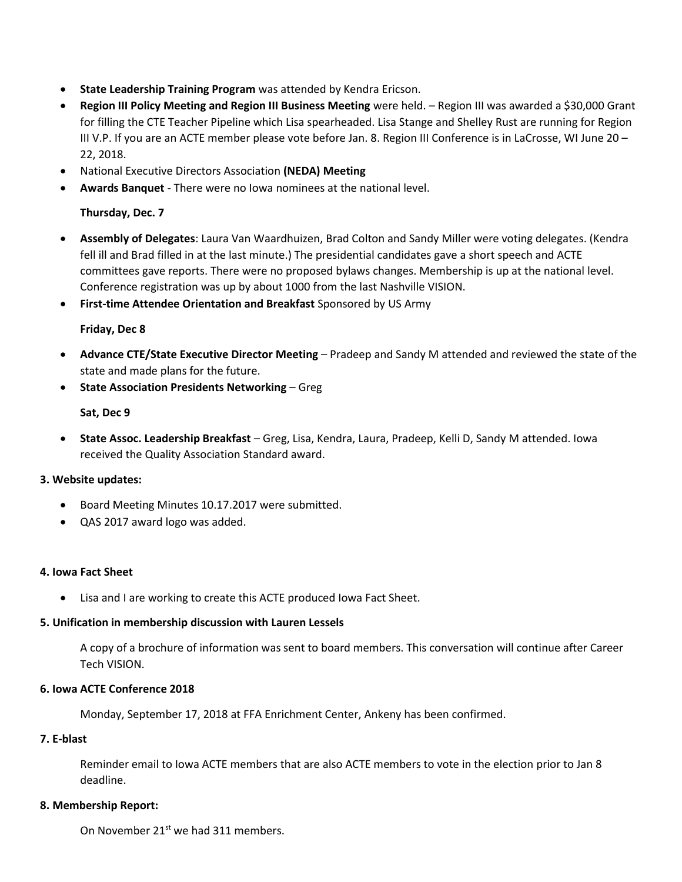- **State Leadership Training Program** was attended by Kendra Ericson.
- **Region III Policy Meeting and Region III Business Meeting** were held. Region III was awarded a \$30,000 Grant for filling the CTE Teacher Pipeline which Lisa spearheaded. Lisa Stange and Shelley Rust are running for Region III V.P. If you are an ACTE member please vote before Jan. 8. Region III Conference is in LaCrosse, WI June 20 – 22, 2018.
- National Executive Directors Association **(NEDA) Meeting**
- **Awards Banquet** There were no Iowa nominees at the national level.

#### **Thursday, Dec. 7**

- **Assembly of Delegates**: Laura Van Waardhuizen, Brad Colton and Sandy Miller were voting delegates. (Kendra fell ill and Brad filled in at the last minute.) The presidential candidates gave a short speech and ACTE committees gave reports. There were no proposed bylaws changes. Membership is up at the national level. Conference registration was up by about 1000 from the last Nashville VISION.
- **First-time Attendee Orientation and Breakfast** Sponsored by US Army

#### **Friday, Dec 8**

- **Advance CTE/State Executive Director Meeting** Pradeep and Sandy M attended and reviewed the state of the state and made plans for the future.
- **State Association Presidents Networking Gregority**

#### **Sat, Dec 9**

 **State Assoc. Leadership Breakfast** – Greg, Lisa, Kendra, Laura, Pradeep, Kelli D, Sandy M attended. Iowa received the Quality Association Standard award.

#### **3. Website updates:**

- Board Meeting Minutes 10.17.2017 were submitted.
- QAS 2017 award logo was added.

#### **4. Iowa Fact Sheet**

Lisa and I are working to create this ACTE produced Iowa Fact Sheet.

#### **5. Unification in membership discussion with Lauren Lessels**

A copy of a brochure of information was sent to board members. This conversation will continue after Career Tech VISION.

#### **6. Iowa ACTE Conference 2018**

Monday, September 17, 2018 at FFA Enrichment Center, Ankeny has been confirmed.

#### **7. E-blast**

Reminder email to Iowa ACTE members that are also ACTE members to vote in the election prior to Jan 8 deadline.

#### **8. Membership Report:**

On November  $21^{st}$  we had 311 members.